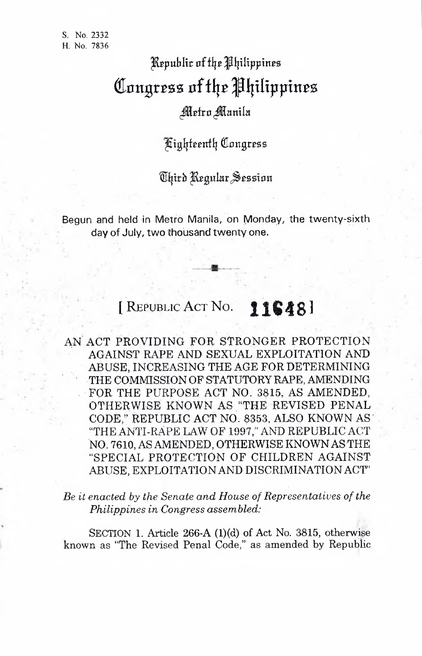## $\mathbb R$ epublic of the *Philippines* Congress of the Philippines

## Metro Manila

## Kighteenth Congress

Third Regular Session

Begun and held in Metro Manila, on Monday, the twenty-sixth day of July, two thousand twenty one.

## [ Republic Act No. **116481**

AN ACT PROVIDING FOR STRONGER PROTECTION. AGAINST RAPE AND SEXUAL EXPLOITATION AND ABUSE, INCREASING THE AGE FOR DETERMINING • THE COMMISSION OF STATUTORY RAPE, AMENDING FOR THE PURPOSE ACT NO. 3815, AS AMENDED, OTHERWISE KNOWN AS "THE REVISED PENAL CODE," REPUBLIC ACT NO. 8353, ALSO KNOWN AS "THE ANTI-RAPE LAW OF 1997," AND REPUBLIC ACT NO. 7610, AS AMENDED, OTHERWISE KNOWNAS THE "SPECIAL PROTECTION OF CHILDREN AGAINST ABUSE, EXPLOITATIONAND DISCRIMINATION ACT

*Be it* enacted by the Senate and House of Representatives of the *Philippines in Congress assembled:*

SECTION 1. Article 266-A (1)(d) of Act No. 3815, otherwise known as "The Revised Penal Code," as amended by Republic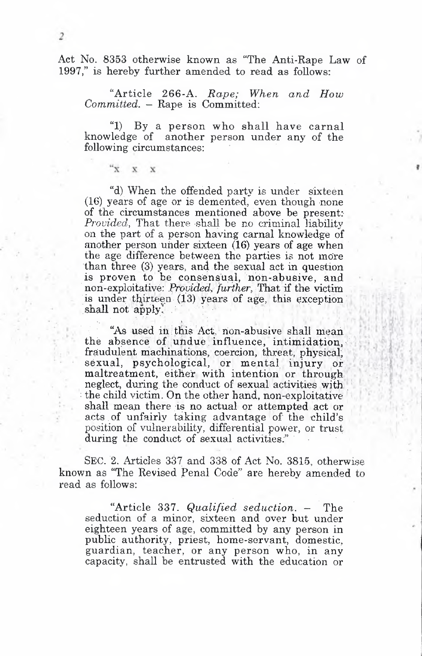Act No. 8353 otherwise known as "The Anti-Rape Law of 1997," is hereby further amended to read as follows:

 $\overline{2}$ 

 $\mathbf{x}^*$  $\mathbf{v}$  $\bf{x}$ 

"Article 266-A. *Rape; When and How Committed.* — Rape is Committed:

"1) By a person who shall have carnal knowledge of another person under any of the following circumstances:

"d) When the offended party is under sixteen (16) years of age or is demented, even though none of the circumstances mentioned above be present: *Provided,* That there shall be no criminal liability on the part of a person having carnal knowledge of another person under sixteen (16) years of age when the age difference between the parties is not more than three (3) years, and the sexual act in question is proven to be consensual, non-abusive, and non-exploitative: *Provided, further, That if the victim* is under thirteen (13) years of age, this exception shall not apply.

"As used in this Act, non-abusive shall mean the absence of undue influence, intimidation, fraudulent machinations, coercion, threat, physical; sexual, psychological, or mental injury or maltreatment, either with intention or through neglect, during the conduct of sexual activities with : the child victim. On the other hand, non-exploitative shall mean there is no actual or attempted act or acts. of unfairly taking advantage of the child's position of vulnerability, differential power, or trust during the conduct of sexual activities." •

Sec. 2. Articles 337 and 338 of Act No. 3815, otherwise known as "The Revised Penal Code" are hereby amended to read as follows:

"Article 337. *Qualified seduction.* - The seduction of a minor, sixteen and over but under eighteen years of age, committed by any person in public authority, priest, home-servant, domestic, guardian, teacher, or any person who, in any capacity, shall be entrusted with the education or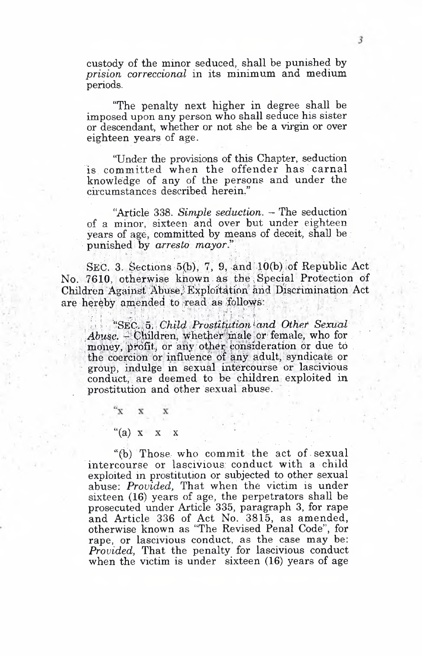custody of the minor seduced, shall be punished by *prision correccional* in its minimum and medium periods.

"The penalty next higher in degree shall he imposed upon any person who shall seduce his sister or descendant, whether or not she be a virgin or over eighteen years of age.

"Under the provisions of this Chapter, seduction is committed when the offender has carnal knowledge of any of the persons and under the circumstances described herein."

"Article 338. *Simple seduction. -* The seduction of a minor, sixteen and over but under eighteen years of age, committed by means of deceit, shall be punished by *arresto mayor"*

SEC. 3. Sections 5(b), 7, 9, and  $10(b)$  of Republic Act. No. 7610, otherwise known as the Special Protection of Children Against, Abuse, Exploitation and Discrimination Act are hereby amended to read as follows:

' j *V* "I'. ,; <sup>i</sup> *i - ' Child.,Prostitution'and Other Sexual Abuse.* - Children, whether male or female, who for money, profit, or any other consideration or due to the coercion or influence of any adult, syndicate or group, indulge in sexual intercourse Or lascivious conduct, are deemed to be children; exploited in prostitution and other sexual abuse.

> $\mathbf{x} \times$  $f''(a)$  x x x

"(b) Those who commit the act of . sexual intercourse or lascivious conduct with a child exploited in prostitution or subjected to other sexual abuse: *Provided,* That when the victim is under sixteen (16) years of age, the perpetrators shall be prosecuted under Article 335, paragraph 3, for rape and Article 336 of Act No. 3815, as amended, otherwise known as "The Revised Penal Code", for rape, or lascivious conduct, as the case may be: *Provided,* That the penalty for lascivious conduct when the victim is under sixteen (16) years of age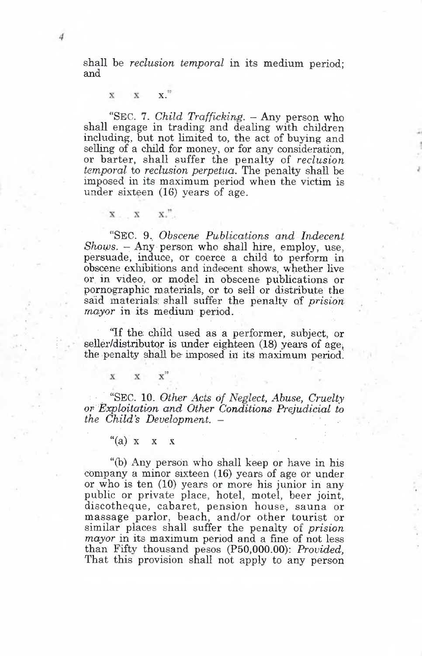shall be *reclusion temporal* in its medium period; and

 $\mathbf{x}$ **X.**  $\mathbf{v}$ 

 $\mathbf{x}$ ."

 $\overline{\mathbf{x}}$   $\overline{\mathbf{x}}$ 

"Sec. 7. *Child Trafficking. —* Any person who shall engage in trading and dealing with children including, but not limited to, the act of buying and selling of a child for money, or for any consideration. or barter, shall suffer the penalty of *reclusion temporal* to *reclusion perpetua.* The penalty shaU be imposed in its maximum period when the victim is under sixteen (16) years of age.

"Sec. 9. *Obscene Publications and Indecent Shows.* - Any person who shall hire, employ, use, persuade, induce, or coerce a child to perform in obscene exliibitions and indecent shows, whether hve or, in video, or model in obscene publications or pornographic materials, or to sell or distribute the said materials; shall suffer the penalty of *prision mayor* in its medium period.

'Tf the child used as a performer, subject, or seller/distributor is under eighteen (18) years of age, the penalty shall be imposed in its maximum period.

"Sec. 10. *Other Acts of Neglect, Abuse, Cruelty or Exploitation and Other Conditions Prejudicial to the Child's Development. -*

 $\mathbf{x}$ 

 $\bar{x}$ 

 $\mathbf{x}^n$ 

"(b) Any person who shall keep or have in his company a minor sixteen  $(16)$  years of age or under or who is ten (10) years or more his junior in any public or private place, hotel, motel, beer joint, discotheque, cabaret, pension house, sauna or massage parlor, beach, and/or other tourist or similar places shall suffer the penalty of *prision mayor* in its maximum period and a fine of not less than Fifty thousand pesos (P50,000.00); *Provided,* That this provision shall not apply to any person

<sup>&</sup>quot;(a)  $x \times x$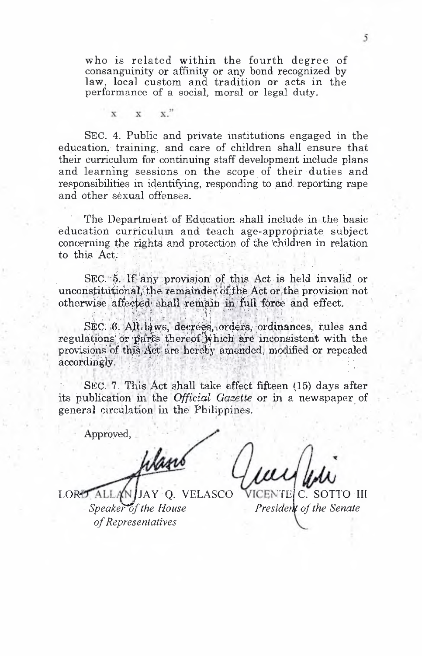who is related within the fourth degree of consanguinity or affinity or any bond recognized by law, local custom and tradition or acts in the performance of a social, moral or legal duty.

 $\mathbf{x}$ "  $\mathbf{v}$ 

SEC. 4. Public and private institutions engaged in the education, training, and care of children shall ensure that their curriculum for continuing staff development include plans and learning sessions on the scope of their duties and responsibilities in identifying, responding to and reporting rape and other sexual offenses.

The Department of Education shall include in the basic education curriculum and teach age-appropriate subject concerning the rights and protection of the children in relation to this Act.

SEC. 5. If any provision of this Act is held invalid or unconstitutional, the remainder of the Act or the provision not otherwise affected shall remain in full force and effect.

SEC. 6. All laws, decrees, orders, ordinances, rules and regulations or parts thereof which are inconsistent with the provisions of this Act are hereby amended, modified or repealed accordingly.

SEC. 7. This Act shall take effect fifteen (15) days after its publication in the Official Gazette or in a newspaper of general circulation in the Philippines.

Approved,

LORD ALLA O. VELASCO  $JAY$ Speaker of the House of Representatives

C. SOTTO III President of the Senate